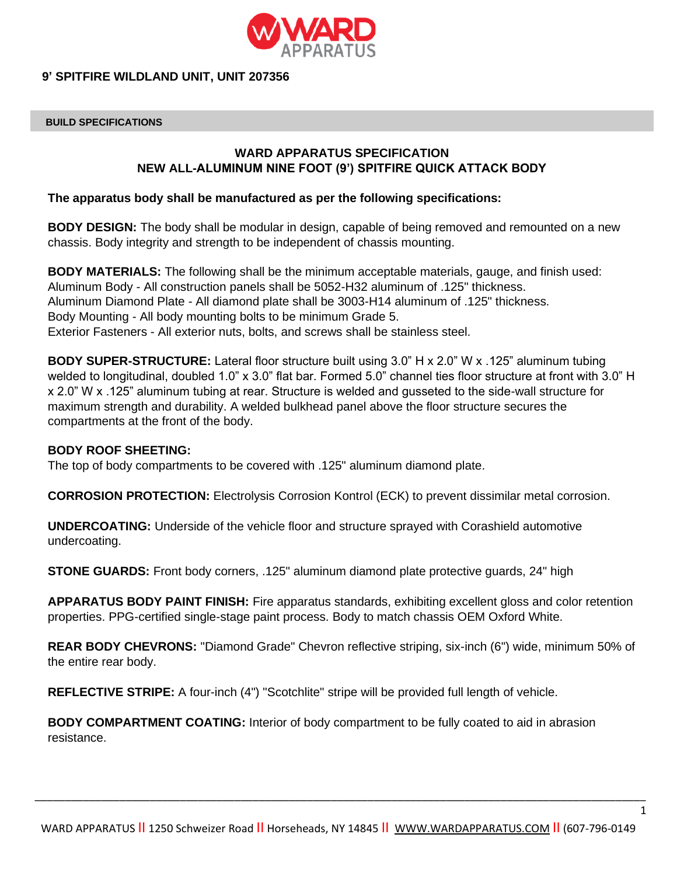

## **9' SPITFIRE WILDLAND UNIT, UNIT 207356**

### **BUILD SPECIFICATIONS**

# **WARD APPARATUS SPECIFICATION NEW ALL-ALUMINUM NINE FOOT (9') SPITFIRE QUICK ATTACK BODY**

## **The apparatus body shall be manufactured as per the following specifications:**

**BODY DESIGN:** The body shall be modular in design, capable of being removed and remounted on a new chassis. Body integrity and strength to be independent of chassis mounting.

**BODY MATERIALS:** The following shall be the minimum acceptable materials, gauge, and finish used: Aluminum Body - All construction panels shall be 5052-H32 aluminum of .125" thickness. Aluminum Diamond Plate - All diamond plate shall be 3003-H14 aluminum of .125" thickness. Body Mounting - All body mounting bolts to be minimum Grade 5. Exterior Fasteners - All exterior nuts, bolts, and screws shall be stainless steel.

**BODY SUPER-STRUCTURE:** Lateral floor structure built using 3.0" H x 2.0" W x .125" aluminum tubing welded to longitudinal, doubled 1.0" x 3.0" flat bar. Formed 5.0" channel ties floor structure at front with 3.0" H x 2.0" W x .125" aluminum tubing at rear. Structure is welded and gusseted to the side-wall structure for maximum strength and durability. A welded bulkhead panel above the floor structure secures the compartments at the front of the body.

### **BODY ROOF SHEETING:**

The top of body compartments to be covered with .125" aluminum diamond plate.

**CORROSION PROTECTION:** Electrolysis Corrosion Kontrol (ECK) to prevent dissimilar metal corrosion.

**UNDERCOATING:** Underside of the vehicle floor and structure sprayed with Corashield automotive undercoating.

**STONE GUARDS:** Front body corners, .125" aluminum diamond plate protective guards, 24" high

**APPARATUS BODY PAINT FINISH:** Fire apparatus standards, exhibiting excellent gloss and color retention properties. PPG-certified single-stage paint process. Body to match chassis OEM Oxford White.

**REAR BODY CHEVRONS:** "Diamond Grade" Chevron reflective striping, six-inch (6") wide, minimum 50% of the entire rear body.

**REFLECTIVE STRIPE:** A four-inch (4") "Scotchlite" stripe will be provided full length of vehicle.

**BODY COMPARTMENT COATING:** Interior of body compartment to be fully coated to aid in abrasion resistance.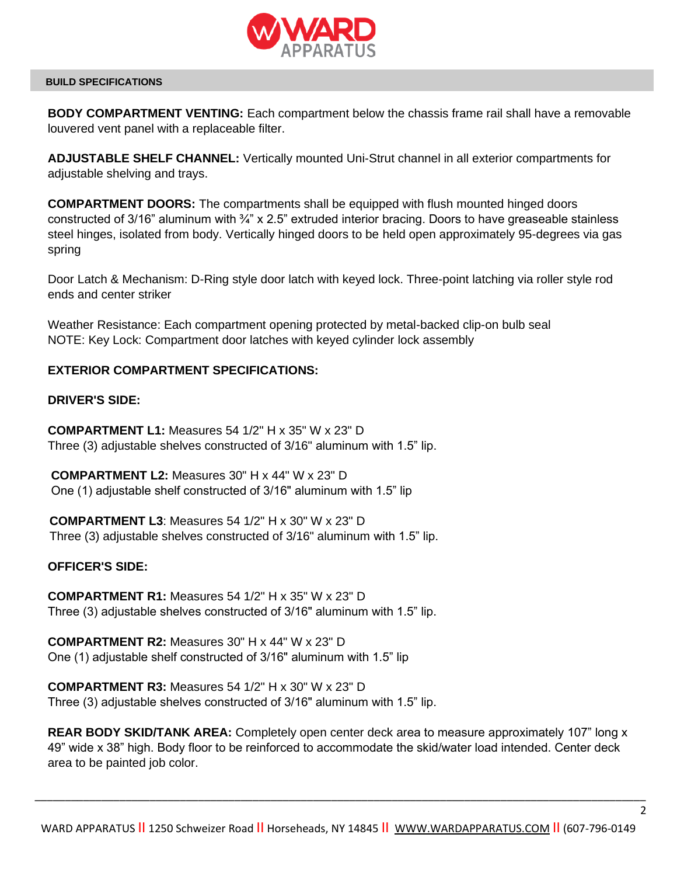

**BODY COMPARTMENT VENTING:** Each compartment below the chassis frame rail shall have a removable louvered vent panel with a replaceable filter.

**ADJUSTABLE SHELF CHANNEL:** Vertically mounted Uni-Strut channel in all exterior compartments for adjustable shelving and trays.

**COMPARTMENT DOORS:** The compartments shall be equipped with flush mounted hinged doors constructed of 3/16" aluminum with <sup>3</sup>/<sub>4</sub>" x 2.5" extruded interior bracing. Doors to have greaseable stainless steel hinges, isolated from body. Vertically hinged doors to be held open approximately 95-degrees via gas spring

Door Latch & Mechanism: D-Ring style door latch with keyed lock. Three-point latching via roller style rod ends and center striker

Weather Resistance: Each compartment opening protected by metal-backed clip-on bulb seal NOTE: Key Lock: Compartment door latches with keyed cylinder lock assembly

# **EXTERIOR COMPARTMENT SPECIFICATIONS:**

# **DRIVER'S SIDE:**

**COMPARTMENT L1:** Measures 54 1/2" H x 35" W x 23" D Three (3) adjustable shelves constructed of 3/16" aluminum with 1.5" lip.

**COMPARTMENT L2:** Measures 30" H x 44" W x 23" D One (1) adjustable shelf constructed of 3/16" aluminum with 1.5" lip

**COMPARTMENT L3**: Measures 54 1/2" H x 30" W x 23" D Three (3) adjustable shelves constructed of 3/16" aluminum with 1.5" lip.

# **OFFICER'S SIDE:**

**COMPARTMENT R1:** Measures 54 1/2" H x 35" W x 23" D Three (3) adjustable shelves constructed of 3/16" aluminum with 1.5" lip.

**COMPARTMENT R2:** Measures 30" H x 44" W x 23" D One (1) adjustable shelf constructed of 3/16" aluminum with 1.5" lip

**COMPARTMENT R3:** Measures 54 1/2" H x 30" W x 23" D Three (3) adjustable shelves constructed of 3/16" aluminum with 1.5" lip.

**REAR BODY SKID/TANK AREA:** Completely open center deck area to measure approximately 107" long x 49" wide x 38" high. Body floor to be reinforced to accommodate the skid/water load intended. Center deck area to be painted job color.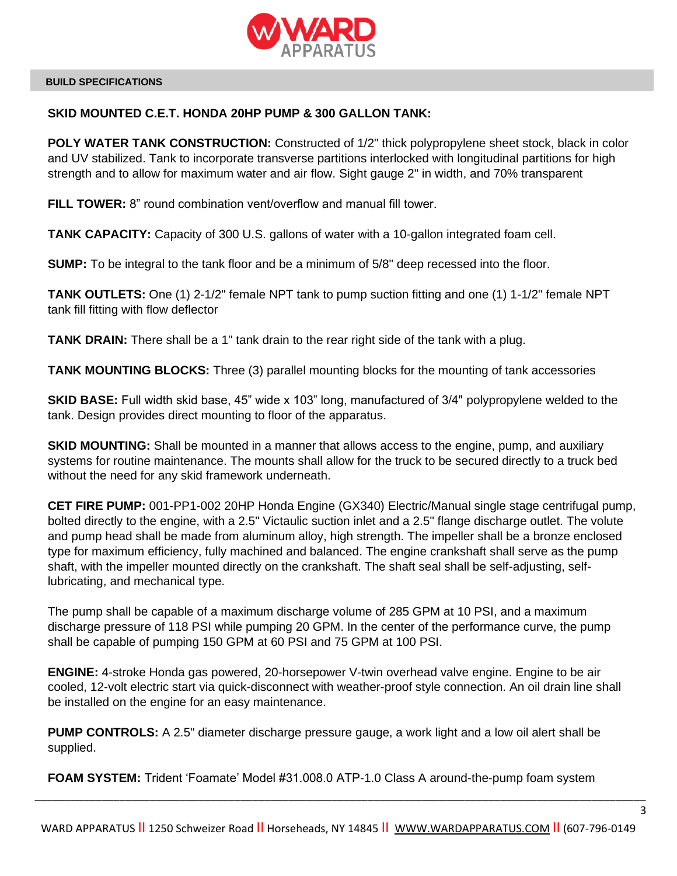

## **SKID MOUNTED C.E.T. HONDA 20HP PUMP & 300 GALLON TANK:**

**POLY WATER TANK CONSTRUCTION:** Constructed of  $1/2$ " thick polypropylene sheet stock, black in color and UV stabilized. Tank to incorporate transverse partitions interlocked with longitudinal partitions for high strength and to allow for maximum water and air flow. Sight gauge 2" in width, and 70% transparent

**FILL TOWER:** 8" round combination vent/overflow and manual fill tower.

**TANK CAPACITY:** Capacity of 300 U.S. gallons of water with a 10-gallon integrated foam cell.

**SUMP:** To be integral to the tank floor and be a minimum of 5/8" deep recessed into the floor.

**TANK OUTLETS:** One (1) 2-1/2" female NPT tank to pump suction fitting and one (1) 1-1/2" female NPT tank fill fitting with flow deflector

**TANK DRAIN:** There shall be a 1" tank drain to the rear right side of the tank with a plug.

**TANK MOUNTING BLOCKS:** Three (3) parallel mounting blocks for the mounting of tank accessories

**SKID BASE:** Full width skid base, 45" wide x 103" long, manufactured of 3/4" polypropylene welded to the tank. Design provides direct mounting to floor of the apparatus.

**SKID MOUNTING:** Shall be mounted in a manner that allows access to the engine, pump, and auxiliary systems for routine maintenance. The mounts shall allow for the truck to be secured directly to a truck bed without the need for any skid framework underneath.

**CET FIRE PUMP:** 001-PP1-002 20HP Honda Engine (GX340) Electric/Manual single stage centrifugal pump, bolted directly to the engine, with a 2.5" Victaulic suction inlet and a 2.5" flange discharge outlet. The volute and pump head shall be made from aluminum alloy, high strength. The impeller shall be a bronze enclosed type for maximum efficiency, fully machined and balanced. The engine crankshaft shall serve as the pump shaft, with the impeller mounted directly on the crankshaft. The shaft seal shall be self-adjusting, selflubricating, and mechanical type.

The pump shall be capable of a maximum discharge volume of 285 GPM at 10 PSI, and a maximum discharge pressure of 118 PSI while pumping 20 GPM. In the center of the performance curve, the pump shall be capable of pumping 150 GPM at 60 PSI and 75 GPM at 100 PSI.

**ENGINE:** 4-stroke Honda gas powered, 20-horsepower V-twin overhead valve engine. Engine to be air cooled, 12-volt electric start via quick-disconnect with weather-proof style connection. An oil drain line shall be installed on the engine for an easy maintenance.

**PUMP CONTROLS:** A 2.5" diameter discharge pressure gauge, a work light and a low oil alert shall be supplied.

**FOAM SYSTEM:** Trident 'Foamate' Model #31.008.0 ATP-1.0 Class A around-the-pump foam system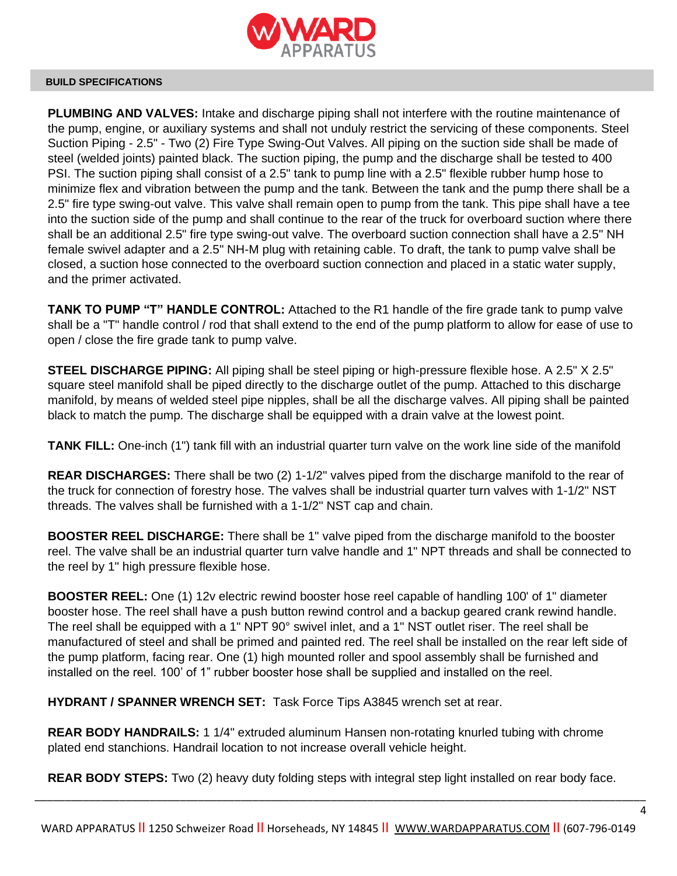

**PLUMBING AND VALVES:** Intake and discharge piping shall not interfere with the routine maintenance of the pump, engine, or auxiliary systems and shall not unduly restrict the servicing of these components. Steel Suction Piping - 2.5" - Two (2) Fire Type Swing-Out Valves. All piping on the suction side shall be made of steel (welded joints) painted black. The suction piping, the pump and the discharge shall be tested to 400 PSI. The suction piping shall consist of a 2.5" tank to pump line with a 2.5" flexible rubber hump hose to minimize flex and vibration between the pump and the tank. Between the tank and the pump there shall be a 2.5" fire type swing-out valve. This valve shall remain open to pump from the tank. This pipe shall have a tee into the suction side of the pump and shall continue to the rear of the truck for overboard suction where there shall be an additional 2.5" fire type swing-out valve. The overboard suction connection shall have a 2.5" NH female swivel adapter and a 2.5" NH-M plug with retaining cable. To draft, the tank to pump valve shall be closed, a suction hose connected to the overboard suction connection and placed in a static water supply, and the primer activated.

**TANK TO PUMP "T" HANDLE CONTROL:** Attached to the R1 handle of the fire grade tank to pump valve shall be a "T" handle control / rod that shall extend to the end of the pump platform to allow for ease of use to open / close the fire grade tank to pump valve.

**STEEL DISCHARGE PIPING:** All piping shall be steel piping or high-pressure flexible hose. A 2.5" X 2.5" square steel manifold shall be piped directly to the discharge outlet of the pump. Attached to this discharge manifold, by means of welded steel pipe nipples, shall be all the discharge valves. All piping shall be painted black to match the pump. The discharge shall be equipped with a drain valve at the lowest point.

**TANK FILL:** One-inch (1") tank fill with an industrial quarter turn valve on the work line side of the manifold

**REAR DISCHARGES:** There shall be two (2) 1-1/2" valves piped from the discharge manifold to the rear of the truck for connection of forestry hose. The valves shall be industrial quarter turn valves with 1-1/2" NST threads. The valves shall be furnished with a 1-1/2" NST cap and chain.

**BOOSTER REEL DISCHARGE:** There shall be 1" valve piped from the discharge manifold to the booster reel. The valve shall be an industrial quarter turn valve handle and 1" NPT threads and shall be connected to the reel by 1" high pressure flexible hose.

**BOOSTER REEL:** One (1) 12v electric rewind booster hose reel capable of handling 100' of 1" diameter booster hose. The reel shall have a push button rewind control and a backup geared crank rewind handle. The reel shall be equipped with a 1" NPT 90° swivel inlet, and a 1" NST outlet riser. The reel shall be manufactured of steel and shall be primed and painted red. The reel shall be installed on the rear left side of the pump platform, facing rear. One (1) high mounted roller and spool assembly shall be furnished and installed on the reel. 100' of 1" rubber booster hose shall be supplied and installed on the reel.

**HYDRANT / SPANNER WRENCH SET:** Task Force Tips A3845 wrench set at rear.

**REAR BODY HANDRAILS:** 1 1/4" extruded aluminum Hansen non-rotating knurled tubing with chrome plated end stanchions. Handrail location to not increase overall vehicle height.

**REAR BODY STEPS:** Two (2) heavy duty folding steps with integral step light installed on rear body face.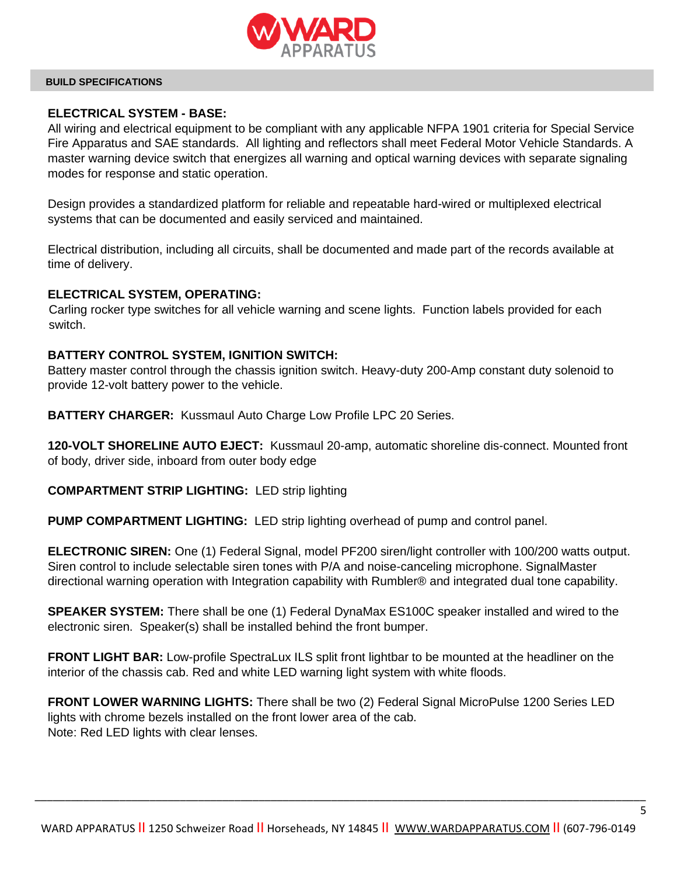

# **ELECTRICAL SYSTEM - BASE:**

All wiring and electrical equipment to be compliant with any applicable NFPA 1901 criteria for Special Service Fire Apparatus and SAE standards. All lighting and reflectors shall meet Federal Motor Vehicle Standards. A master warning device switch that energizes all warning and optical warning devices with separate signaling modes for response and static operation.

Design provides a standardized platform for reliable and repeatable hard-wired or multiplexed electrical systems that can be documented and easily serviced and maintained.

Electrical distribution, including all circuits, shall be documented and made part of the records available at time of delivery.

### **ELECTRICAL SYSTEM, OPERATING:**

 Carling rocker type switches for all vehicle warning and scene lights. Function labels provided for each switch.

## **BATTERY CONTROL SYSTEM, IGNITION SWITCH:**

Battery master control through the chassis ignition switch. Heavy-duty 200-Amp constant duty solenoid to provide 12-volt battery power to the vehicle.

**BATTERY CHARGER:** Kussmaul Auto Charge Low Profile LPC 20 Series.

**120-VOLT SHORELINE AUTO EJECT:** Kussmaul 20-amp, automatic shoreline dis-connect. Mounted front of body, driver side, inboard from outer body edge

**COMPARTMENT STRIP LIGHTING:** LED strip lighting

**PUMP COMPARTMENT LIGHTING:** LED strip lighting overhead of pump and control panel.

**ELECTRONIC SIREN:** One (1) Federal Signal, model PF200 siren/light controller with 100/200 watts output. Siren control to include selectable siren tones with P/A and noise-canceling microphone. SignalMaster directional warning operation with Integration capability with Rumbler® and integrated dual tone capability.

**SPEAKER SYSTEM:** There shall be one (1) Federal DynaMax ES100C speaker installed and wired to the electronic siren. Speaker(s) shall be installed behind the front bumper.

**FRONT LIGHT BAR:** Low-profile SpectraLux ILS split front lightbar to be mounted at the headliner on the interior of the chassis cab. Red and white LED warning light system with white floods.

**FRONT LOWER WARNING LIGHTS:** There shall be two (2) Federal Signal MicroPulse 1200 Series LED lights with chrome bezels installed on the front lower area of the cab. Note: Red LED lights with clear lenses.

\_\_\_\_\_\_\_\_\_\_\_\_\_\_\_\_\_\_\_\_\_\_\_\_\_\_\_\_\_\_\_\_\_\_\_\_\_\_\_\_\_\_\_\_\_\_\_\_\_\_\_\_\_\_\_\_\_\_\_\_\_\_\_\_\_\_\_\_\_\_\_\_\_\_\_\_\_\_\_\_\_\_\_\_\_\_\_\_\_\_\_\_\_\_\_\_\_\_\_\_\_

5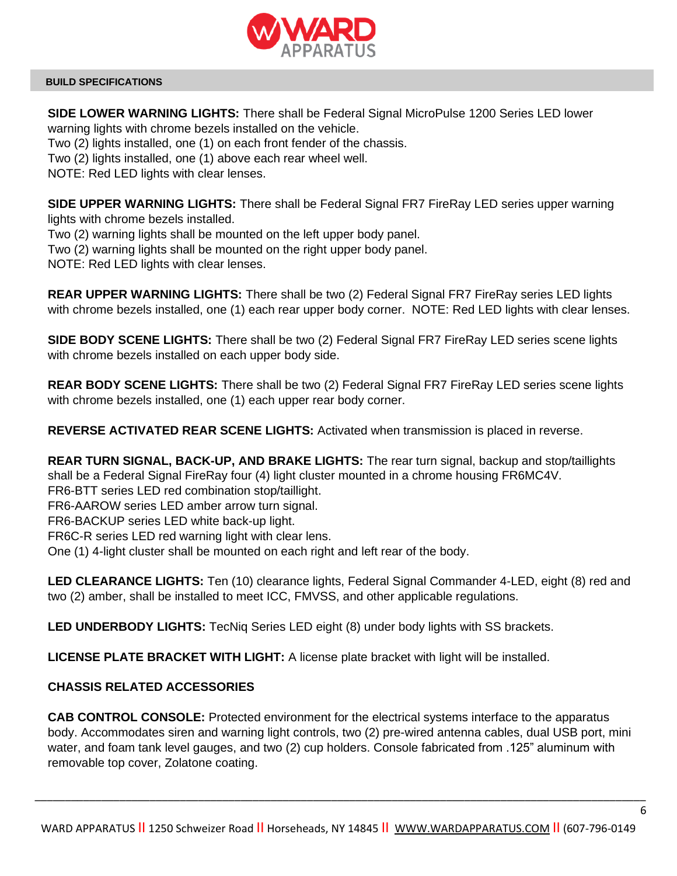

**SIDE LOWER WARNING LIGHTS:** There shall be Federal Signal MicroPulse 1200 Series LED lower warning lights with chrome bezels installed on the vehicle.

Two (2) lights installed, one (1) on each front fender of the chassis.

Two (2) lights installed, one (1) above each rear wheel well.

NOTE: Red LED lights with clear lenses.

**SIDE UPPER WARNING LIGHTS:** There shall be Federal Signal FR7 FireRay LED series upper warning lights with chrome bezels installed.

Two (2) warning lights shall be mounted on the left upper body panel.

Two (2) warning lights shall be mounted on the right upper body panel.

NOTE: Red LED lights with clear lenses.

**REAR UPPER WARNING LIGHTS:** There shall be two (2) Federal Signal FR7 FireRay series LED lights with chrome bezels installed, one (1) each rear upper body corner. NOTE: Red LED lights with clear lenses.

**SIDE BODY SCENE LIGHTS:** There shall be two (2) Federal Signal FR7 FireRay LED series scene lights with chrome bezels installed on each upper body side.

**REAR BODY SCENE LIGHTS:** There shall be two (2) Federal Signal FR7 FireRay LED series scene lights with chrome bezels installed, one (1) each upper rear body corner.

**REVERSE ACTIVATED REAR SCENE LIGHTS:** Activated when transmission is placed in reverse.

**REAR TURN SIGNAL, BACK-UP, AND BRAKE LIGHTS:** The rear turn signal, backup and stop/taillights shall be a Federal Signal FireRay four (4) light cluster mounted in a chrome housing FR6MC4V.

FR6-BTT series LED red combination stop/taillight.

FR6-AAROW series LED amber arrow turn signal.

FR6-BACKUP series LED white back-up light.

FR6C-R series LED red warning light with clear lens.

One (1) 4-light cluster shall be mounted on each right and left rear of the body.

**LED CLEARANCE LIGHTS:** Ten (10) clearance lights, Federal Signal Commander 4-LED, eight (8) red and two (2) amber, shall be installed to meet ICC, FMVSS, and other applicable regulations.

**LED UNDERBODY LIGHTS:** TecNiq Series LED eight (8) under body lights with SS brackets.

**LICENSE PLATE BRACKET WITH LIGHT:** A license plate bracket with light will be installed.

# **CHASSIS RELATED ACCESSORIES**

**CAB CONTROL CONSOLE:** Protected environment for the electrical systems interface to the apparatus body. Accommodates siren and warning light controls, two (2) pre-wired antenna cables, dual USB port, mini water, and foam tank level gauges, and two (2) cup holders. Console fabricated from .125" aluminum with removable top cover, Zolatone coating.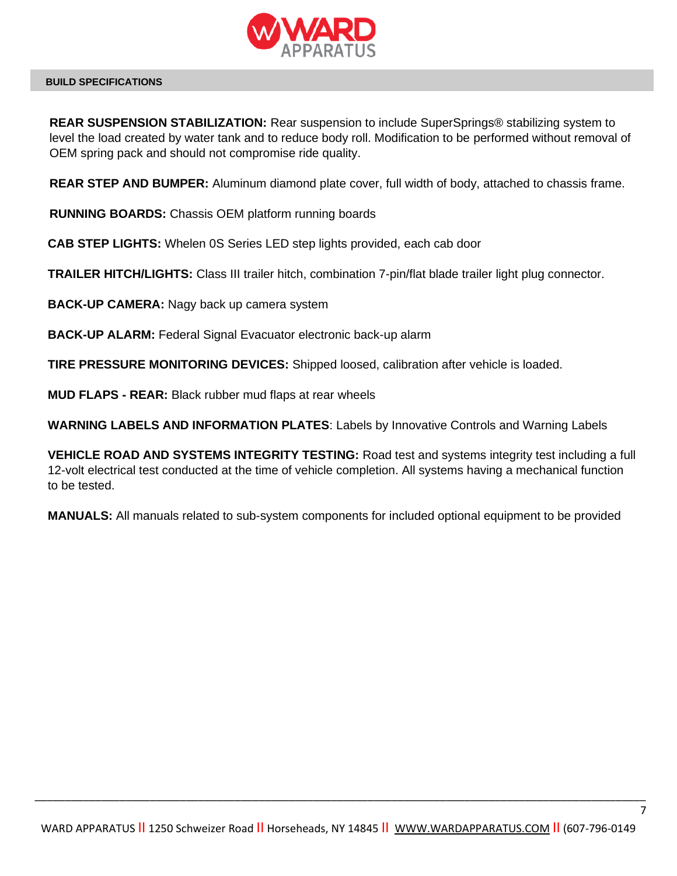

**REAR SUSPENSION STABILIZATION:** Rear suspension to include SuperSprings® stabilizing system to level the load created by water tank and to reduce body roll. Modification to be performed without removal of OEM spring pack and should not compromise ride quality.

**REAR STEP AND BUMPER:** Aluminum diamond plate cover, full width of body, attached to chassis frame.

**RUNNING BOARDS:** Chassis OEM platform running boards

**CAB STEP LIGHTS:** Whelen 0S Series LED step lights provided, each cab door

**TRAILER HITCH/LIGHTS:** Class III trailer hitch, combination 7-pin/flat blade trailer light plug connector.

**BACK-UP CAMERA:** Nagy back up camera system

**BACK-UP ALARM:** Federal Signal Evacuator electronic back-up alarm

**TIRE PRESSURE MONITORING DEVICES:** Shipped loosed, calibration after vehicle is loaded.

**MUD FLAPS - REAR:** Black rubber mud flaps at rear wheels

**WARNING LABELS AND INFORMATION PLATES**: Labels by Innovative Controls and Warning Labels

**VEHICLE ROAD AND SYSTEMS INTEGRITY TESTING:** Road test and systems integrity test including a full 12-volt electrical test conducted at the time of vehicle completion. All systems having a mechanical function to be tested.

**MANUALS:** All manuals related to sub-system components for included optional equipment to be provided